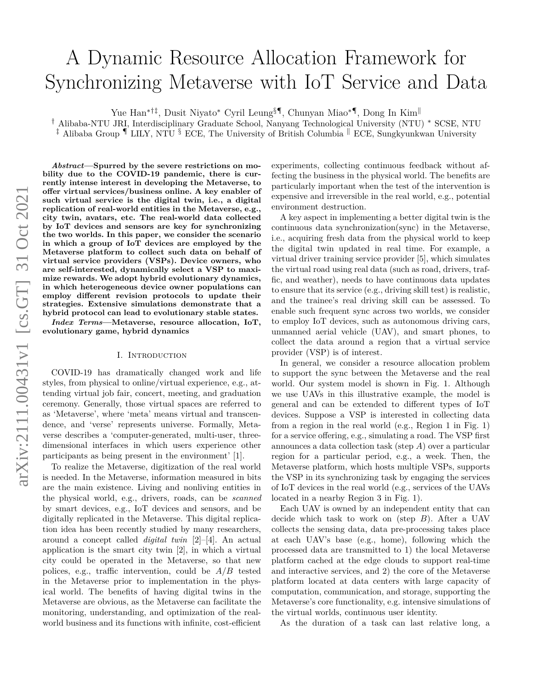# A Dynamic Resource Allocation Framework for Synchronizing Metaverse with IoT Service and Data

Yue Han∗†‡, Dusit Niyato<sup>∗</sup> Cyril Leung§¶, Chunyan Miao∗¶, Dong In Kim<sup>k</sup>

† Alibaba-NTU JRI, Interdisciplinary Graduate School, Nanyang Technological University (NTU) <sup>∗</sup> SCSE, NTU

<sup> $\ddagger$ </sup> Alibaba Group  $\Box$  LILY, NTU  $\frac{1}{2}$  ECE, The University of British Columbia  $\parallel$  ECE, Sungkyunkwan University

*Abstract***—Spurred by the severe restrictions on mobility due to the COVID-19 pandemic, there is currently intense interest in developing the Metaverse, to offer virtual services/business online. A key enabler of such virtual service is the digital twin, i.e., a digital replication of real-world entities in the Metaverse, e.g., city twin, avatars, etc. The real-world data collected by IoT devices and sensors are key for synchronizing the two worlds. In this paper, we consider the scenario in which a group of IoT devices are employed by the Metaverse platform to collect such data on behalf of virtual service providers (VSPs). Device owners, who are self-interested, dynamically select a VSP to maximize rewards. We adopt hybrid evolutionary dynamics, in which heterogeneous device owner populations can employ different revision protocols to update their strategies. Extensive simulations demonstrate that a hybrid protocol can lead to evolutionary stable states.**

*Index Terms***—Metaverse, resource allocation, IoT, evolutionary game, hybrid dynamics**

#### I. Introduction

COVID-19 has dramatically changed work and life styles, from physical to online/virtual experience, e.g., attending virtual job fair, concert, meeting, and graduation ceremony. Generally, those virtual spaces are referred to as 'Metaverse', where 'meta' means virtual and transcendence, and 'verse' represents universe. Formally, Metaverse describes a 'computer-generated, multi-user, threedimensional interfaces in which users experience other participants as being present in the environment' [1].

To realize the Metaverse, digitization of the real world is needed. In the Metaverse, information measured in bits are the main existence. Living and nonliving entities in the physical world, e.g., drivers, roads, can be *scanned* by smart devices, e.g., IoT devices and sensors, and be digitally replicated in the Metaverse. This digital replication idea has been recently studied by many researchers, around a concept called *digital twin* [2]–[4]. An actual application is the smart city twin [2], in which a virtual city could be operated in the Metaverse, so that new polices, e.g., traffic intervention, could be *A/B* tested in the Metaverse prior to implementation in the physical world. The benefits of having digital twins in the Metaverse are obvious, as the Metaverse can facilitate the monitoring, understanding, and optimization of the realworld business and its functions with infinite, cost-efficient experiments, collecting continuous feedback without affecting the business in the physical world. The benefits are particularly important when the test of the intervention is expensive and irreversible in the real world, e.g., potential environment destruction.

A key aspect in implementing a better digital twin is the continuous data synchronization(sync) in the Metaverse, i.e., acquiring fresh data from the physical world to keep the digital twin updated in real time. For example, a virtual driver training service provider [5], which simulates the virtual road using real data (such as road, drivers, traffic, and weather), needs to have continuous data updates to ensure that its service (e.g., driving skill test) is realistic, and the trainee's real driving skill can be assessed. To enable such frequent sync across two worlds, we consider to employ IoT devices, such as autonomous driving cars, unmanned aerial vehicle (UAV), and smart phones, to collect the data around a region that a virtual service provider (VSP) is of interest.

In general, we consider a resource allocation problem to support the sync between the Metaverse and the real world. Our system model is shown in Fig. 1. Although we use UAVs in this illustrative example, the model is general and can be extended to different types of IoT devices. Suppose a VSP is interested in collecting data from a region in the real world (e.g., Region 1 in Fig. 1) for a service offering, e.g., simulating a road. The VSP first announces a data collection task (step *A*) over a particular region for a particular period, e.g., a week. Then, the Metaverse platform, which hosts multiple VSPs, supports the VSP in its synchronizing task by engaging the services of IoT devices in the real world (e.g., services of the UAVs located in a nearby Region 3 in Fig. 1).

Each UAV is owned by an independent entity that can decide which task to work on (step *B*). After a UAV collects the sensing data, data pre-processing takes place at each UAV's base (e.g., home), following which the processed data are transmitted to 1) the local Metaverse platform cached at the edge clouds to support real-time and interactive services, and 2) the core of the Metaverse platform located at data centers with large capacity of computation, communication, and storage, supporting the Metaverse's core functionality, e.g. intensive simulations of the virtual worlds, continuous user identity.

As the duration of a task can last relative long, a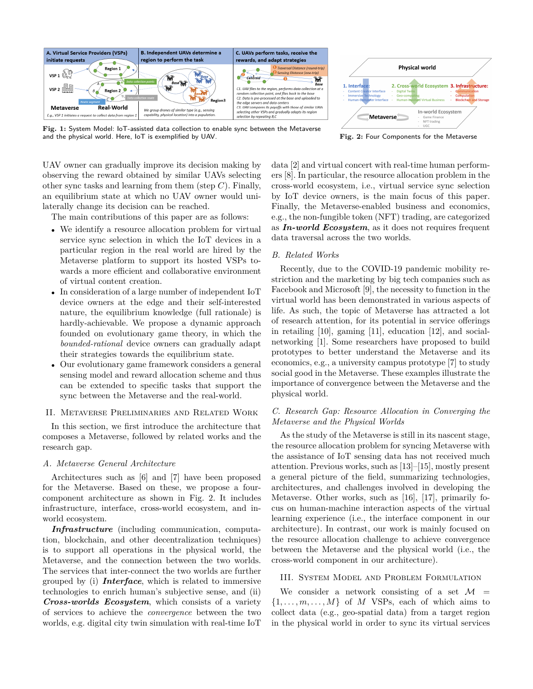

**Fig. 1:** System Model: IoT-assisted data collection to enable sync between the Metaverse and the physical world. Here, IoT is exemplified by UAV. **Fig. 2:** Four Components for the Metaverse

UAV owner can gradually improve its decision making by observing the reward obtained by similar UAVs selecting other sync tasks and learning from them (step *C*). Finally, an equilibrium state at which no UAV owner would unilaterally change its decision can be reached.

The main contributions of this paper are as follows:

- We identify a resource allocation problem for virtual service sync selection in which the IoT devices in a particular region in the real world are hired by the Metaverse platform to support its hosted VSPs towards a more efficient and collaborative environment of virtual content creation.
- In consideration of a large number of independent IoT device owners at the edge and their self-interested nature, the equilibrium knowledge (full rationale) is hardly-achievable. We propose a dynamic approach founded on evolutionary game theory, in which the *bounded-rational* device owners can gradually adapt their strategies towards the equilibrium state.
- Our evolutionary game framework considers a general sensing model and reward allocation scheme and thus can be extended to specific tasks that support the sync between the Metaverse and the real-world.

#### II. Metaverse Preliminaries and Related Work

In this section, we first introduce the architecture that composes a Metaverse, followed by related works and the research gap.

## *A. Metaverse General Architecture*

Architectures such as [6] and [7] have been proposed for the Metaverse. Based on these, we propose a fourcomponent architecture as shown in Fig. 2. It includes infrastructure, interface, cross-world ecosystem, and inworld ecosystem.

*Infrastructure* (including communication, computation, blockchain, and other decentralization techniques) is to support all operations in the physical world, the Metaverse, and the connection between the two worlds. The services that inter-connect the two worlds are further grouped by (i) *Interface*, which is related to immersive technologies to enrich human's subjective sense, and (ii) *Cross-worlds Ecosystem*, which consists of a variety of services to achieve the *convergence* between the two worlds, e.g. digital city twin simulation with real-time IoT data [2] and virtual concert with real-time human performers [8]. In particular, the resource allocation problem in the cross-world ecosystem, i.e., virtual service sync selection by IoT device owners, is the main focus of this paper. Finally, the Metaverse-enabled business and economics, e.g., the non-fungible token (NFT) trading, are categorized as *In-world Ecosystem*, as it does not requires frequent data traversal across the two worlds.

### *B. Related Works*

Recently, due to the COVID-19 pandemic mobility restriction and the marketing by big tech companies such as Facebook and Microsoft [9], the necessity to function in the virtual world has been demonstrated in various aspects of life. As such, the topic of Metaverse has attracted a lot of research attention, for its potential in service offerings in retailing [10], gaming [11], education [12], and socialnetworking [1]. Some researchers have proposed to build prototypes to better understand the Metaverse and its economics, e.g., a university campus prototype [7] to study social good in the Metaverse. These examples illustrate the importance of convergence between the Metaverse and the physical world.

## *C. Research Gap: Resource Allocation in Converging the Metaverse and the Physical Worlds*

As the study of the Metaverse is still in its nascent stage, the resource allocation problem for syncing Metaverse with the assistance of IoT sensing data has not received much attention. Previous works, such as [13]–[15], mostly present a general picture of the field, summarizing technologies, architectures, and challenges involved in developing the Metaverse. Other works, such as [16], [17], primarily focus on human-machine interaction aspects of the virtual learning experience (i.e., the interface component in our architecture). In contrast, our work is mainly focused on the resource allocation challenge to achieve convergence between the Metaverse and the physical world (i.e., the cross-world component in our architecture).

#### III. System Model and Problem Formulation

We consider a network consisting of a set  $\mathcal{M}$  =  $\{1, \ldots, m, \ldots, M\}$  of *M* VSPs, each of which aims to collect data (e.g., geo-spatial data) from a target region in the physical world in order to sync its virtual services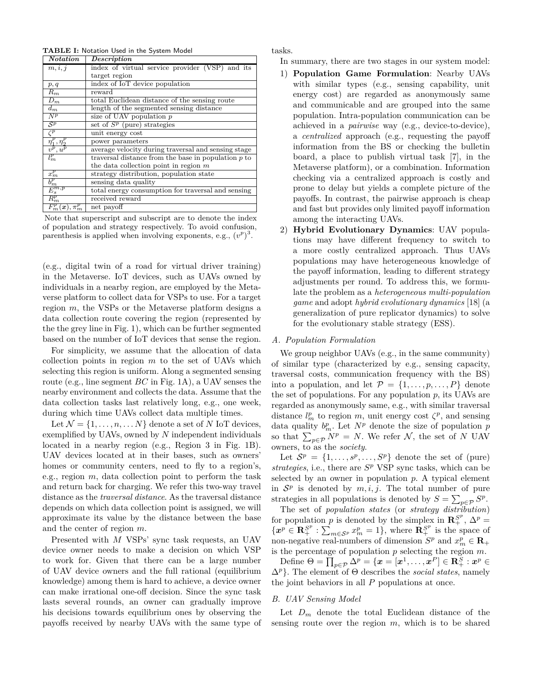**TABLE I:** Notation Used in the System Model

| Notation                   | <b>Description</b>                                    |
|----------------------------|-------------------------------------------------------|
| m, i, j                    | index of virtual service provider (VSP) and its       |
|                            | target region                                         |
| p, q                       | index of IoT device population                        |
| $R_m$                      | reward                                                |
| $D_m$                      | total Euclidean distance of the sensing route         |
| $d_m$                      | length of the segmented sensing distance              |
| $\overline{N^p}$           | size of UAV population $p$                            |
| $\overline{\mathcal{S}^p}$ | set of $S^p$ (pure) strategies                        |
| $\overline{\zeta^p}$       | unit energy cost                                      |
| $\eta^p_1, \eta^p_2$       | power parameters                                      |
| $v^p, u^p$                 | average velocity during traversal and sensing stage   |
| $l^p_m$                    | traversal distance from the base in population $p$ to |
|                            | the data collection point in region $m$               |
| $x_m^p$                    | strategy distribution, population state               |
| $b^p_m$                    | sensing data quality                                  |
| $E_s^{m,p}$                | total energy consumption for traversal and sensing    |
| $R_m^p$                    | received reward                                       |
| $F_m^p(\pmb x), \pi_m^p$   | net payoff                                            |

Note that superscript and subscript are to denote the index of population and strategy respectively. To avoid confusion, parenthesis is applied when involving exponents, e.g.,  $(v^p)^3$ .

(e.g., digital twin of a road for virtual driver training) in the Metaverse. IoT devices, such as UAVs owned by individuals in a nearby region, are employed by the Metaverse platform to collect data for VSPs to use. For a target region *m*, the VSPs or the Metaverse platform designs a data collection route covering the region (represented by the the grey line in Fig. 1), which can be further segmented based on the number of IoT devices that sense the region.

For simplicity, we assume that the allocation of data collection points in region *m* to the set of UAVs which selecting this region is uniform. Along a segmented sensing route (e.g., line segment *BC* in Fig. 1A), a UAV senses the nearby environment and collects the data. Assume that the data collection tasks last relatively long, e.g., one week, during which time UAVs collect data multiple times.

Let  $\mathcal{N} = \{1, \ldots, n, \ldots N\}$  denote a set of *N* IoT devices, exemplified by UAVs, owned by *N* independent individuals located in a nearby region (e.g., Region 3 in Fig. 1B). UAV devices located at in their bases, such as owners' homes or community centers, need to fly to a region's, e.g., region *m*, data collection point to perform the task and return back for charging. We refer this two-way travel distance as the *traversal distance*. As the traversal distance depends on which data collection point is assigned, we will approximate its value by the distance between the base and the center of region *m*.

Presented with *M* VSPs' sync task requests, an UAV device owner needs to make a decision on which VSP to work for. Given that there can be a large number of UAV device owners and the full rational (equilibrium knowledge) among them is hard to achieve, a device owner can make irrational one-off decision. Since the sync task lasts several rounds, an owner can gradually improve his decisions towards equilibrium ones by observing the payoffs received by nearby UAVs with the same type of tasks.

In summary, there are two stages in our system model:

- 1) **Population Game Formulation**: Nearby UAVs with similar types (e.g., sensing capability, unit energy cost) are regarded as anonymously same and communicable and are grouped into the same population. Intra-population communication can be achieved in a *pairwise* way (e.g., device-to-device), a *centralized* approach (e.g., requesting the payoff information from the BS or checking the bulletin board, a place to publish virtual task [7], in the Metaverse platform), or a combination. Information checking via a centralized approach is costly and prone to delay but yields a complete picture of the payoffs. In contrast, the pairwise approach is cheap and fast but provides only limited payoff information among the interacting UAVs.
- 2) **Hybrid Evolutionary Dynamics**: UAV populations may have different frequency to switch to a more costly centralized approach. Thus UAVs populations may have heterogeneous knowledge of the payoff information, leading to different strategy adjustments per round. To address this, we formulate the problem as a *heterogeneous multi-population game* and adopt *hybrid evolutionary dynamics* [18] (a generalization of pure replicator dynamics) to solve for the evolutionary stable strategy (ESS).

## *A. Population Formulation*

We group neighbor UAVs (e.g., in the same community) of similar type (characterized by e.g., sensing capacity, traversal costs, communication frequency with the BS) into a population, and let  $\mathcal{P} = \{1, \ldots, p, \ldots, P\}$  denote the set of populations. For any population *p*, its UAVs are regarded as anonymously same, e.g., with similar traversal distance  $l_m^p$  to region *m*, unit energy cost  $\zeta^p$ , and sensing data quality  $b_m^p$ . Let  $N^p$  denote the size of population  $p$ so that  $\sum_{p \in \mathcal{P}} N^p = N$ . We refer  $\mathcal{N}$ , the set of *N* UAV owners, to as the *society*.

Let  $S^p = \{1, \ldots, s^p, \ldots, S^p\}$  denote the set of (pure) *strategies*, i.e., there are *S <sup>p</sup>* VSP sync tasks, which can be selected by an owner in population *p*. A typical element in  $S^p$  is denoted by  $m, i, j$ . The total number of pure strategies in all populations is denoted by  $S = \sum_{p \in \mathcal{P}} S^p$ .

The set of *population states* (or *strategy distribution*) for population *p* is denoted by the simplex in  $\mathbf{R}_{+}^{S^{p}}$ ,  $\Delta^{p}$  =  ${x}^p \in \mathbb{R}_+^{S^p}: \sum_{m \in S^p} x_m^p = 1$ , where  $\mathbb{R}_+^{S^p}$  is the space of non-negative real-numbers of dimension  $S^p$  and  $x_m^p \in \mathbb{R}_+$ is the percentage of population *p* selecting the region *m*.

 $\text{Define } \Theta = \prod_{p \in \mathcal{P}} \Delta^p = \{\bm{x} = [\bm{x}^1, \dots, \bm{x}^P] \in \mathbf{R}^S_+ : \bm{x}^p \in \mathcal{P}\}$ ∆*<sup>p</sup>*}. The element of Θ describes the *social states*, namely the joint behaviors in all *P* populations at once.

## *B. UAV Sensing Model*

Let  $D_m$  denote the total Euclidean distance of the sensing route over the region *m*, which is to be shared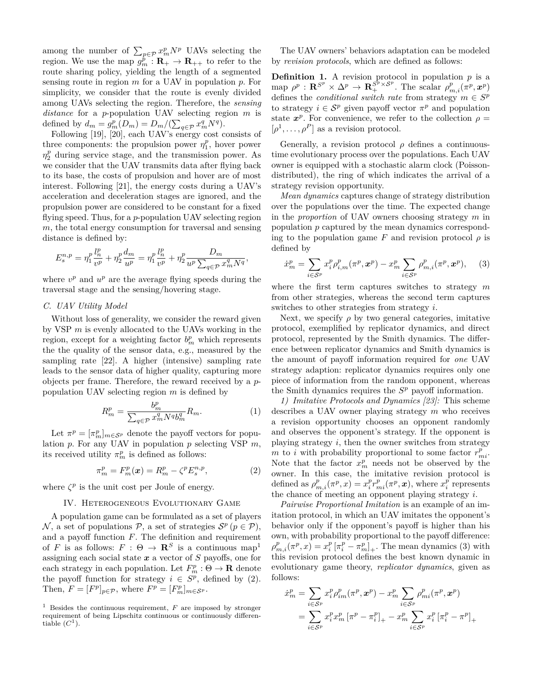among the number of  $\sum_{p \in \mathcal{P}} x_m^p N^p$  UAVs selecting the region. We use the map  $g_m^{\tilde{p}}$ :  $\mathbf{R}_+ \to \mathbf{R}_{++}$  to refer to the route sharing policy, yielding the length of a segmented sensing route in region *m* for a UAV in population *p*. For simplicity, we consider that the route is evenly divided among UAVs selecting the region. Therefore, the *sensing distance* for a *p*-population UAV selecting region *m* is defined by  $d_m = g_m^p(D_m) = D_m/(\sum_{q \in \mathcal{P}} x_m^q N^q)$ .

Following [19], [20], each UAV's energy cost consists of three components: the propulsion power  $\eta_1^p$ , hover power  $\eta_2^p$  during service stage, and the transmission power. As we consider that the UAV transmits data after flying back to its base, the costs of propulsion and hover are of most interest. Following [21], the energy costs during a UAV's acceleration and deceleration stages are ignored, and the propulsion power are considered to be constant for a fixed flying speed. Thus, for a *p*-population UAV selecting region *m*, the total energy consumption for traversal and sensing distance is defined by:

$$
E_s^{n,p} = \eta_1^p \frac{l_n^p}{v^p} + \eta_2^p \frac{d_m}{u^p} = \eta_1^p \frac{l_n^p}{v^p} + \eta_2^p \frac{D_m}{u^p \sum_{q \in \mathcal{P}} x_m^q N^q},
$$

where  $v^p$  and  $u^p$  are the average flying speeds during the traversal stage and the sensing/hovering stage.

## *C. UAV Utility Model*

Without loss of generality, we consider the reward given by VSP *m* is evenly allocated to the UAVs working in the region, except for a weighting factor  $b_m^p$  which represents the the quality of the sensor data, e.g., measured by the sampling rate [22]. A higher (intensive) sampling rate leads to the sensor data of higher quality, capturing more objects per frame. Therefore, the reward received by a *p*population UAV selecting region *m* is defined by

$$
R_m^p = \frac{b_m^p}{\sum_{q \in \mathcal{P}} x_m^q N^q b_m^q} R_m. \tag{1}
$$

Let  $\pi^p = [\pi_m^p]_{m \in \mathcal{S}^p}$  denote the payoff vectors for population *p*. For any UAV in population *p* selecting VSP *m*, its received utility  $\pi_m^p$  is defined as follows:

$$
\pi_m^p = F_m^p(\boldsymbol{x}) = R_m^p - \zeta^p E_s^{n,p},\tag{2}
$$

where  $\zeta^p$  is the unit cost per Joule of energy.

#### IV. Heterogeneous Evolutionary Game

A population game can be formulated as a set of players N, a set of populations P, a set of strategies  $S^p$  ( $p \in \mathcal{P}$ ), and a payoff function *F*. The definition and requirement of *F* is as follows:  $F : \Theta \to \mathbb{R}^S$  is a continuous map<sup>1</sup> assigning each social state *x* a vector of *S* payoffs, one for each strategy in each population. Let  $F_m^p : \Theta \to \mathbf{R}$  denote the payoff function for strategy  $i \in S^p$ , defined by (2). Then,  $F = [F^p]_{p \in \mathcal{P}}$ , where  $F^p = [F^p_m]_{m \in \mathcal{S}^p}$ .

The UAV owners' behaviors adaptation can be modeled by *revision protocols*, which are defined as follows:

**Definition 1.** A revision protocol in population *p* is a  $\text{map } \rho^p : \mathbf{R}^{S^p} \times \Delta^p \to \mathbf{R}^{S^p \times S^p}_+$ . The scalar  $\rho^p_{m,i}(\pi^p, \mathbf{x}^p)$ defines the *conditional switch rate* from strategy  $m \in S^p$ to strategy  $i \in \mathcal{S}^p$  given payoff vector  $\pi^p$  and population state  $x^p$ . For convenience, we refer to the collection  $\rho =$  $[\rho^1, \ldots, \rho^P]$  as a revision protocol.

Generally, a revision protocol  $\rho$  defines a continuoustime evolutionary process over the populations. Each UAV owner is equipped with a stochastic alarm clock (Poissondistributed), the ring of which indicates the arrival of a strategy revision opportunity.

*Mean dynamics* captures change of strategy distribution over the populations over the time. The expected change in the *proportion* of UAV owners choosing strategy *m* in population *p* captured by the mean dynamics corresponding to the population game *F* and revision protocol  $\rho$  is defined by

$$
\dot{x}_{m}^{p} = \sum_{i \in S^{p}} x_{i}^{p} \rho_{i,m}^{p} (\pi^{p}, \mathbf{x}^{p}) - x_{m}^{p} \sum_{i \in S^{p}} \rho_{m,i}^{p} (\pi^{p}, \mathbf{x}^{p}), \quad (3)
$$

where the first term captures switches to strategy *m* from other strategies, whereas the second term captures switches to other strategies from strategy *i*.

Next, we specify  $\rho$  by two general categories, imitative protocol, exemplified by replicator dynamics, and direct protocol, represented by the Smith dynamics. The difference between replicator dynamics and Smith dynamics is the amount of payoff information required for *one* UAV strategy adaption: replicator dynamics requires only one piece of information from the random opponent, whereas the Smith dynamics requires the  $S<sup>p</sup>$  payoff information.

*1) Imitative Protocols and Dynamics [23]:* This scheme describes a UAV owner playing strategy *m* who receives a revision opportunity chooses an opponent randomly and observes the opponent's strategy. If the opponent is playing strategy *i*, then the owner switches from strategy *m* to *i* with probability proportional to some factor  $r_{mi}^p$ . Note that the factor  $x_m^p$  needs not be observed by the owner. In this case, the imitative revision protocol is defined as  $\rho_{m,i}^p(\pi^p, x) = x_i^p r_{mi}^p(\pi^p, x)$ , where  $x_i^p$  represents the chance of meeting an opponent playing strategy *i*.

*Pairwise Proportional Imitation* is an example of an imitation protocol, in which an UAV imitates the opponent's behavior only if the opponent's payoff is higher than his own, with probability proportional to the payoff difference:  $\rho_{m,i}^p(\pi^p, x) = x_i^p [\pi_i^p - \pi_m^p]_+$ . The mean dynamics (3) with this revision protocol defines the best known dynamic in evolutionary game theory, *replicator dynamics*, given as follows:

$$
\dot{x}_{m}^{p} = \sum_{i \in S^{p}} x_{i}^{p} \rho_{im}^{p} (\pi^{p}, \mathbf{x}^{p}) - x_{m}^{p} \sum_{i \in S^{p}} \rho_{mi}^{p} (\pi^{p}, \mathbf{x}^{p})
$$

$$
= \sum_{i \in S^{p}} x_{i}^{p} x_{m}^{p} [\pi^{p} - \pi_{i}^{p}]_{+} - x_{m}^{p} \sum_{i \in S^{p}} x_{i}^{p} [\pi_{i}^{p} - \pi^{p}]_{+}
$$

<sup>1</sup> Besides the continuous requirement, *F* are imposed by stronger requirement of being Lipschitz continuous or continuously differentiable  $(C^1)$ .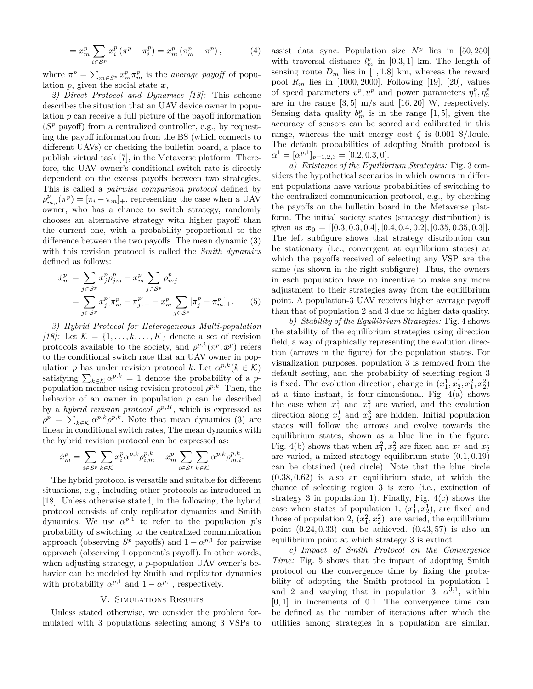$$
= x_m^p \sum_{i \in S^p} x_i^p (\pi^p - \pi_i^p) = x_m^p (\pi_m^p - \bar{\pi}^p), \tag{4}
$$

where  $\bar{\pi}^p = \sum_{m \in S^p} x_m^p \pi_m^p$  is the *average payoff* of population *p*, given the social state *x*,

*2) Direct Protocol and Dynamics [18]:* This scheme describes the situation that an UAV device owner in population *p* can receive a full picture of the payoff information  $(S<sup>p</sup>$  payoff) from a centralized controller, e.g., by requesting the payoff information from the BS (which connects to different UAVs) or checking the bulletin board, a place to publish virtual task [7], in the Metaverse platform. Therefore, the UAV owner's conditional switch rate is directly dependent on the excess payoffs between two strategies. This is called a *pairwise comparison protocol* defined by  $\rho_{m,i}^p(\pi^p) = [\pi_i - \pi_m]_+,$  representing the case when a UAV owner, who has a chance to switch strategy, randomly chooses an alternative strategy with higher payoff than the current one, with a probability proportional to the difference between the two payoffs. The mean dynamic (3) with this revision protocol is called the *Smith dynamics* defined as follows:

$$
\begin{split} \dot{x}_m^p &= \sum_{j \in \mathcal{S}^p} x_j^p \rho_{jm}^p - x_m^p \sum_{j \in \mathcal{S}^p} \rho_{mj}^p \\ &= \sum_{j \in \mathcal{S}^p} x_j^p [\pi_m^p - \pi_j^p]_+ - x_m^p \sum_{j \in \mathcal{S}^p} [\pi_j^p - \pi_m^p]_+ . \end{split} \tag{5}
$$

*3) Hybrid Protocol for Heterogeneous Multi-population* [18]: Let  $\mathcal{K} = \{1, \ldots, k, \ldots, K\}$  denote a set of revision protocols available to the society, and  $\rho^{p,k}(\pi^p, \mathbf{x}^p)$  refers to the conditional switch rate that an UAV owner in population *p* has under revision protocol *k*. Let  $\alpha^{p,k}$ ( $k \in \mathcal{K}$ ) satisfying  $\sum_{k \in \mathcal{K}} \alpha^{p,k} = 1$  denote the probability of a *p*population member using revision protocol  $\rho^{p,k}$ . Then, the behavior of an owner in population *p* can be described by a *hybrid revision protocol*  $\rho^{p,H}$ , which is expressed as  $\rho^p = \sum_{k \in \mathcal{K}} \alpha^{p,k} \rho^{p,k}$ . Note that mean dynamics (3) are linear in conditional switch rates, The mean dynamics with the hybrid revision protocol can be expressed as:

$$
\dot{x}_m^p = \sum_{i \in \mathcal{S}^p} \sum_{k \in \mathcal{K}} x_i^p \alpha^{p,k} \rho_{i,m}^{p,k} - x_m^p \sum_{i \in \mathcal{S}^p} \sum_{k \in \mathcal{K}} \alpha^{p,k} \rho_{m,i}^{p,k}.
$$

The hybrid protocol is versatile and suitable for different situations, e.g., including other protocols as introduced in [18]. Unless otherwise stated, in the following, the hybrid protocol consists of only replicator dynamics and Smith dynamics. We use  $\alpha^{p,1}$  to refer to the population *p*'s probability of switching to the centralized communication approach (observing  $S^p$  payoffs) and  $1 - \alpha^{p,1}$  for pairwise approach (observing 1 opponent's payoff). In other words, when adjusting strategy, a *p*-population UAV owner's behavior can be modeled by Smith and replicator dynamics with probability  $\alpha^{p,1}$  and  $1 - \alpha^{p,1}$ , respectively.

## V. Simulations Results

Unless stated otherwise, we consider the problem formulated with 3 populations selecting among 3 VSPs to

assist data sync. Population size  $N^p$  lies in [50, 250] with traversal distance  $l_m^p$  in [0.3, 1] km. The length of sensing route  $D_m$  lies in [1, 1.8] km, whereas the reward pool *R<sup>m</sup>* lies in [1000*,* 2000]. Following [19], [20], values of speed parameters  $v^p, u^p$  and power parameters  $\eta_1^p, \eta_2^p$ are in the range [3*,* 5] m/s and [16*,* 20] W, respectively. Sensing data quality  $b_m^p$  is in the range [1,5], given the accuracy of sensors can be scored and calibrated in this range, whereas the unit energy cost  $\zeta$  is 0.001 \$/Joule. The default probabilities of adopting Smith protocol is  $\alpha^1 = [\alpha^{p,1}]_{p=1,2,3} = [0.2, 0.3, 0].$ 

*a) Existence of the Equilibrium Strategies:* Fig. 3 considers the hypothetical scenarios in which owners in different populations have various probabilities of switching to the centralized communication protocol, e.g., by checking the payoffs on the bulletin board in the Metaverse platform. The initial society states (strategy distribution) is given as  $x_0 = [[0.3, 0.3, 0.4], [0.4, 0.4, 0.2], [0.35, 0.35, 0.3]].$ The left subfigure shows that strategy distribution can be stationary (i.e., convergent at equilibrium states) at which the payoffs received of selecting any VSP are the same (as shown in the right subfigure). Thus, the owners in each population have no incentive to make any more adjustment to their strategies away from the equilibrium point. A population-3 UAV receives higher average payoff than that of population 2 and 3 due to higher data quality.

*b) Stability of the Equilibrium Strategies:* Fig. 4 shows the stability of the equilibrium strategies using direction field, a way of graphically representing the evolution direction (arrows in the figure) for the population states. For visualization purposes, population 3 is removed from the default setting, and the probability of selecting region 3 is fixed. The evolution direction, change in  $(x_1^1, x_2^1, x_1^2, x_2^2)$ at a time instant, is four-dimensional. Fig.  $4(a)$  shows the case when  $x_1^1$  and  $x_1^2$  are varied, and the evolution direction along  $x_2^1$  and  $x_2^2$  are hidden. Initial population states will follow the arrows and evolve towards the equilibrium states, shown as a blue line in the figure. Fig. 4(b) shows that when  $x_1^2, x_2^2$  are fixed and  $x_1^1$  and  $x_2^1$ are varied, a mixed strategy equilibrium state (0*.*1*,* 0*.*19) can be obtained (red circle). Note that the blue circle (0*.*38*,* 0*.*62) is also an equilibrium state, at which the chance of selecting region 3 is zero (i.e., extinction of strategy 3 in population 1). Finally, Fig.  $4(c)$  shows the case when states of population 1,  $(x_1^1, x_2^1)$ , are fixed and those of population 2,  $(x_1^2, x_2^2)$ , are varied, the equilibrium point (0*.*24*,* 0*.*33) can be achieved. (0*.*43*,* 57) is also an equilibrium point at which strategy 3 is extinct.

*c) Impact of Smith Protocol on the Convergence Time:* Fig. 5 shows that the impact of adopting Smith protocol on the convergence time by fixing the probability of adopting the Smith protocol in population 1 and 2 and varying that in population 3,  $\alpha^{3,1}$ , within [0*,* 1] in increments of 0*.*1. The convergence time can be defined as the number of iterations after which the utilities among strategies in a population are similar,